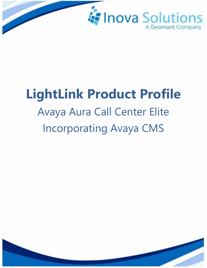

# **LightLink Product Profile** Avaya Aura Call Center Elite Incorporating Avaya CMS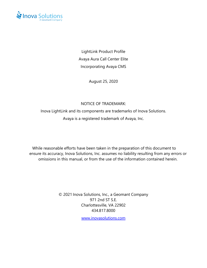

LightLink Product Profile Avaya Aura Call Center Elite Incorporating Avaya CMS

August 25, 2020

#### NOTICE OF TRADEMARK:

Inova LightLink and its components are trademarks of Inova Solutions.

Avaya is a registered trademark of Avaya, Inc.

While reasonable efforts have been taken in the preparation of this document to ensure its accuracy, Inova Solutions, Inc. assumes no liability resulting from any errors or omissions in this manual, or from the use of the information contained herein.

> © 2021 Inova Solutions, Inc., a Geomant Company 971 2nd ST S.E. Charlottesville, VA 22902 434.817.8000

> > [www.inovasolutions.com](http://www.inovasolutions.com/)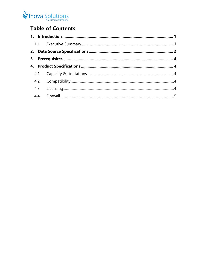## Inova Solutions

## **Table of Contents**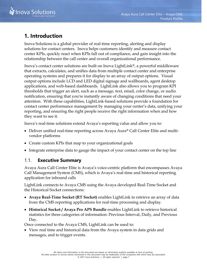

## <span id="page-3-0"></span>**1. Introduction**

Inova Solutions is a global provider of real-time reporting, alerting and display solutions for contact centers. Inova helps customers identify and measure contact center KPIs, quickly react when KPIs fall out of compliance, and gain insight into the relationship between the call center and overall organizational performance.

Inova's contact center solutions are built on Inova LightLink®, a powerful middleware that extracts, calculates, and unifies data from multiple contact center and enterprise operating systems and prepares it for display to an array of output options. Visual output options include LCD and LED digital signage and wallboards, agent desktop applications, and web-based dashboards. LightLink also allows you to program KPI thresholds that trigger an alert, such as a message, text, email, color change, or audio notification, ensuring that you're instantly aware of changing conditions that need your attention. With these capabilities, LightLink-based solutions provide a foundation for contact center performance management by managing your center's data, unifying your reporting, and ensuring the right people receive the right information when and how they want to see it.

Inova's real-time solutions extend Avaya's reporting value and allow you to:

- Deliver unified real-time reporting across Avaya Aura® Call Center Elite and multivendor platforms
- Create custom KPIs that map to your organizational goals
- Integrate enterprise data to gauge the impact of your contact center on the top line

### <span id="page-3-1"></span>1.1. **Executive Summary**

Avaya Aura Call Center Elite is Avaya's voice-centric platform that encompasses Avaya Call Management System (CMS), which is Avaya's real-time and historical reporting application for inbound calls

LightLink connects to Avaya CMS using the Avaya developed Real-Time Socket and the Historical Socket connections:

- **Avaya Real-Time Socket (RT Socket)** enables LightLink to retrieve an array of data from the CMS reporting applications for real-time processing and display.
- **Historical Socket / Avaya Pro APS Bundle** enables LightLink to retrieve historical statistics for three categories of information: Previous Interval, Daily, and Previous Day.

Once connected to the Avaya CMS, LightLink can be used to:

• View real time and historical data from the Avaya system in data grids and messages, and to trigger events.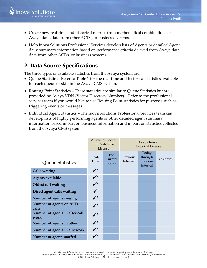- Create new real-time and historical metrics from mathematical combinations of Avaya data, data from other ACDs, or business systems.
- Help Inova Solutions Professional Services develop lists of Agents or detailed Agent daily summary information based on performance criteria derived from Avaya data, data from other ACDs, or business systems.

## <span id="page-4-0"></span>**2. Data Source Specifications**

The three types of available statistics from the Avaya system are:

- Queue Statistics Refer to [Table 1](#page-5-0) for the real-time and historical statistics available for each queue or skill in the Avaya CMS system.
- Routing Point Statistics These statistics are similar to Queue Statistics but are provided by Avaya VDN (Vector Directory Number). Refer to the professional services team if you would like to use Routing Point statistics for purposes such as triggering events or messages.
- Individual Agent Statistics The Inova Solutions Professional Services team can develop lists of highly performing agents or other detailed agent summary information based in part on business information and in part on statistics collected from the Avaya CMS system.

|                                        | Avaya RT Socket<br>for Real-Time<br>License |                            | Avaya Inova<br><b>Historical License</b> |                                          |           |
|----------------------------------------|---------------------------------------------|----------------------------|------------------------------------------|------------------------------------------|-----------|
| Queue Statistics                       | Real-<br>Time                               | For<br>Current<br>Interval | Previous<br>Interval                     | Today<br>through<br>Previous<br>Interval | Yesterday |
| <b>Calls waiting</b>                   | $\sqrt{\frac{1}{2}}$                        |                            |                                          |                                          |           |
| <b>Agents available</b>                | $\checkmark$                                |                            |                                          |                                          |           |
| Oldest call waiting                    | $\checkmark^*$                              |                            |                                          |                                          |           |
| Direct agent calls waiting             |                                             |                            |                                          |                                          |           |
| Number of agents ringing               | $\checkmark$                                |                            |                                          |                                          |           |
| Number of agents on ACD<br>calls       | $\sqrt{ }$                                  |                            |                                          |                                          |           |
| Number of agents in after call<br>work | $\checkmark$                                |                            |                                          |                                          |           |
| Number of agents in other              | $\checkmark$                                |                            |                                          |                                          |           |
| Number of agents in aux work           | $\checkmark^*$                              |                            |                                          |                                          |           |
| Number of agents staffed               | $\overline{\phantom{a}}$                    |                            |                                          |                                          |           |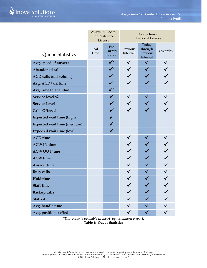|                                | Avaya RT Socket<br>for Real-Time<br>License |                            | Avaya Inova<br><b>Historical License</b> |                                          |           |
|--------------------------------|---------------------------------------------|----------------------------|------------------------------------------|------------------------------------------|-----------|
| Queue Statistics               | Real-<br>Time                               | For<br>Current<br>Interval | Previous<br>Interval                     | Today<br>through<br>Previous<br>Interval | Yesterday |
| Avg. speed of answer           |                                             | $\sqrt{\frac{1}{2}}$       | $\checkmark$                             | $\checkmark$                             |           |
| <b>Abandoned calls</b>         |                                             | $\checkmark$               |                                          |                                          |           |
| <b>ACD calls (call volume)</b> |                                             | $\sqrt{ }$                 |                                          |                                          |           |
| Avg. ACD talk time             |                                             | $\sqrt{\frac{1}{2}}$       |                                          |                                          |           |
| Avg. time to abandon           |                                             | $\sqrt{\frac{1}{2}}$       |                                          |                                          |           |
| Service level %                |                                             |                            |                                          |                                          |           |
| <b>Service Level</b>           |                                             |                            |                                          |                                          |           |
| <b>Calls Offered</b>           |                                             | $\checkmark$               |                                          |                                          |           |
| Expected wait time (high)      |                                             |                            |                                          |                                          |           |
| Expected wait time (medium)    |                                             | $\checkmark$               |                                          |                                          |           |
| Expected wait time (low)       |                                             | $\checkmark$               |                                          |                                          |           |
| <b>ACD</b> time                |                                             |                            |                                          |                                          |           |
| <b>ACW IN time</b>             |                                             |                            |                                          |                                          |           |
| <b>ACW OUT time</b>            |                                             |                            |                                          |                                          |           |
| <b>ACW</b> time                |                                             |                            |                                          |                                          |           |
| <b>Answer time</b>             |                                             |                            |                                          |                                          |           |
| <b>Busy calls</b>              |                                             |                            |                                          |                                          |           |
| <b>Hold time</b>               |                                             |                            |                                          |                                          |           |
| <b>Staff time</b>              |                                             |                            |                                          |                                          |           |
| <b>Backup calls</b>            |                                             |                            |                                          |                                          |           |
| <b>Staffed</b>                 |                                             |                            |                                          |                                          |           |
| Avg. handle time               |                                             |                            |                                          |                                          |           |
| Avg. position staffed          |                                             |                            |                                          |                                          |           |

<span id="page-5-0"></span>*\*This value is available in the Avaya Standard Report.* **Table 1: Queue Statistics**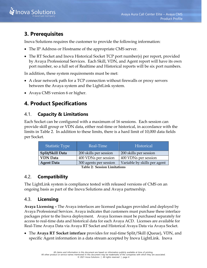

## <span id="page-6-0"></span>**3. Prerequisites**

Inova Solutions requires the customer to provide the following information:

- The IP Address or Hostname of the appropriate CMS server.
- The RT Socket and Inova Historical Socket TCP port number(s) per report, provided by Avaya Professional Services. Each Skill, VDN, and Agent report will have its own port number, so a full set of Realtime and Historical reports will be six port numbers.

In addition, these system requirements must be met:

- A clear network path for a TCP connection without firewalls or proxy servers between the Avaya system and the LightLink system.
- <span id="page-6-1"></span>• Avaya CMS version 6 or higher.

## **4. Product Specifications**

### <span id="page-6-2"></span>4.1. **Capacity & Limitations**

Each Socket can be configured with a maximum of 16 sessions. Each session can provide skill group or VDN data, either real-time or historical, in accordance with the limits in [Table 2.](#page-6-5) In addition to these limits, there is a hard limit of 10,000 data fields per Socket.

| <b>Statistic Type</b>        | Real-Time              | Historical                   |  |  |  |
|------------------------------|------------------------|------------------------------|--|--|--|
| Split/Skill Data             | 200 skills per session | 200 skills per session       |  |  |  |
| <b>VDN</b> Data              | 400 VDNs per session   | 400 VDNs per session         |  |  |  |
| <b>Agent Data</b>            | 300 agents per session | Variable by skills per agent |  |  |  |
| Table 2. Coosing Limitations |                        |                              |  |  |  |

**Table 2: Session Limitations**

#### <span id="page-6-5"></span><span id="page-6-3"></span>4.2. **Compatibility**

The LightLink system is compliance tested with released versions of CMS on an ongoing basis as part of the Inova Solutions and Avaya partnership.

#### <span id="page-6-4"></span>4.3. **Licensing**

**Avaya Licensing –** The Avaya interfaces are licensed packages provided and deployed by Avaya Professional Services. Avaya indicates that customers must purchase these interface packages prior to the Inova deployment. Avaya licenses must be purchased separately for access to real-time data and historical data for each Avaya ACD. Licenses are available for Real-Time Avaya Data via Avaya RT Socket and Historical Avaya Data via Avaya Socket.

• The **Avaya RT Socket interface** provides for real-time Split/Skill (Queue), VDN, and specific Agent information in a data stream accepted by Inova LightLink. Inova